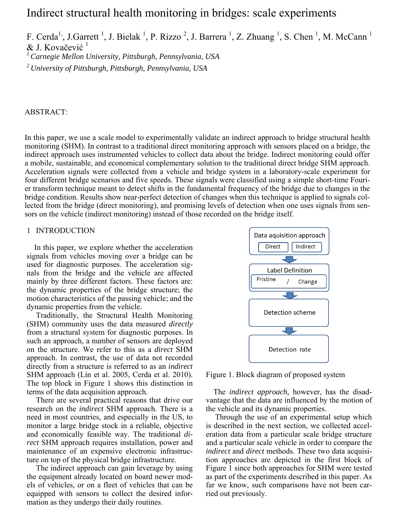# Indirect structural health monitoring in bridges: scale experiments

F. Cerda<sup>1,</sup>, J.Garrett<sup>1</sup>, J. Bielak<sup>1</sup>, P. Rizzo<sup>2</sup>, J. Barrera<sup>1</sup>, Z. Zhuang<sup>1</sup>, S. Chen<sup>1</sup>, M. McCann<sup>1</sup> & J. Kovačević<sup>1</sup>

*1 Carnegie Mellon University, Pittsburgh, Pennsylvania, USA* 

*2 University of Pittsburgh, Pittsburgh, Pennsylvania, USA* 

## ABSTRACT:

In this paper, we use a scale model to experimentally validate an indirect approach to bridge structural health monitoring (SHM). In contrast to a traditional direct monitoring approach with sensors placed on a bridge, the indirect approach uses instrumented vehicles to collect data about the bridge. Indirect monitoring could offer a mobile, sustainable, and economical complementary solution to the traditional direct bridge SHM approach. Acceleration signals were collected from a vehicle and bridge system in a laboratory-scale experiment for four different bridge scenarios and five speeds. These signals were classified using a simple short-time Fourier transform technique meant to detect shifts in the fundamental frequency of the bridge due to changes in the bridge condition. Results show near-perfect detection of changes when this technique is applied to signals collected from the bridge (direct monitoring), and promising levels of detection when one uses signals from sensors on the vehicle (indirect monitoring) instead of those recorded on the bridge itself.

## 1 INTRODUCTION

In this paper, we explore whether the acceleration signals from vehicles moving over a bridge can be used for diagnostic purposes. The acceleration signals from the bridge and the vehicle are affected mainly by three different factors. These factors are: the dynamic properties of the bridge structure; the motion characteristics of the passing vehicle; and the dynamic properties from the vehicle.

Traditionally, the Structural Health Monitoring (SHM) community uses the data measured *directly* from a structural system for diagnostic purposes. In such an approach, a number of sensors are deployed on the structure. We refer to this as a *direct* SHM approach. In contrast, the use of data not recorded directly from a structure is referred to as an *indirect* SHM approach (Lin et al. 2005, Cerda et al. 2010). The top block in Figure 1 shows this distinction in terms of the data acquisition approach.

There are several practical reasons that drive our research on the *indirect* SHM approach. There is a need in most countries, and especially in the US, to monitor a large bridge stock in a reliable, objective and economically feasible way. The traditional *direct* SHM approach requires installation, power and maintenance of an expensive electronic infrastructure on top of the physical bridge infrastructure.

The indirect approach can gain leverage by using the equipment already located on board newer models of vehicles, or on a fleet of vehicles that can be equipped with sensors to collect the desired information as they undergo their daily routines.



Figure 1. Block diagram of proposed system

The *indirect approach,* however, has the disadvantage that the data are influenced by the motion of the vehicle and its dynamic properties.

Through the use of an experimental setup which is described in the next section, we collected acceleration data from a particular scale bridge structure and a particular scale vehicle in order to compare the *indirect* and *direct* methods. These two data acquisition approaches are depicted in the first block of Figure 1 since both approaches for SHM were tested as part of the experiments described in this paper. As far we know, such comparisons have not been carried out previously.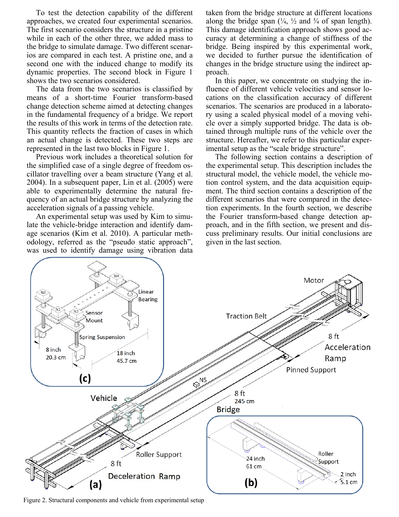To test the detection capability of the different approaches, we created four experimental scenarios. The first scenario considers the structure in a pristine while in each of the other three, we added mass to the bridge to simulate damage. Two different scenarios are compared in each test. A pristine one, and a second one with the induced change to modify its dynamic properties. The second block in Figure 1 shows the two scenarios considered.

The data from the two scenarios is classified by means of a short-time Fourier transform-based change detection scheme aimed at detecting changes in the fundamental frequency of a bridge. We report the results of this work in terms of the detection rate. This quantity reflects the fraction of cases in which an actual change is detected. These two steps are represented in the last two blocks in Figure 1.

Previous work includes a theoretical solution for the simplified case of a single degree of freedom oscillator travelling over a beam structure (Yang et al. 2004). In a subsequent paper, Lin et al. (2005) were able to experimentally determine the natural frequency of an actual bridge structure by analyzing the acceleration signals of a passing vehicle.

An experimental setup was used by Kim to simulate the vehicle-bridge interaction and identify damage scenarios (Kim et al. 2010). A particular methodology, referred as the "pseudo static approach", was used to identify damage using vibration data taken from the bridge structure at different locations along the bridge span  $(\frac{1}{4}, \frac{1}{2})$  and  $\frac{3}{4}$  of span length). This damage identification approach shows good accuracy at determining a change of stiffness of the bridge. Being inspired by this experimental work, we decided to further pursue the identification of changes in the bridge structure using the indirect approach.

In this paper, we concentrate on studying the influence of different vehicle velocities and sensor locations on the classification accuracy of different scenarios. The scenarios are produced in a laboratory using a scaled physical model of a moving vehicle over a simply supported bridge. The data is obtained through multiple runs of the vehicle over the structure. Hereafter, we refer to this particular experimental setup as the "scale bridge structure".

The following section contains a description of the experimental setup. This description includes the structural model, the vehicle model, the vehicle motion control system, and the data acquisition equipment. The third section contains a description of the different scenarios that were compared in the detection experiments. In the fourth section, we describe the Fourier transform-based change detection approach, and in the fifth section, we present and discuss preliminary results. Our initial conclusions are given in the last section.



Figure 2. Structural components and vehicle from experimental setup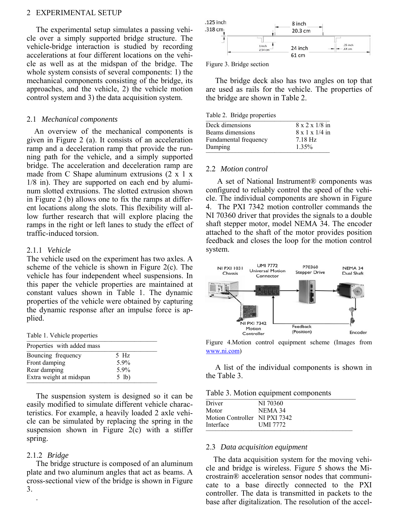#### 2 EXPERIMENTAL SETUP

The experimental setup simulates a passing vehicle over a simply supported bridge structure. The vehicle-bridge interaction is studied by recording accelerations at four different locations on the vehicle as well as at the midspan of the bridge. The whole system consists of several components: 1) the mechanical components consisting of the bridge, its approaches, and the vehicle, 2) the vehicle motion control system and 3) the data acquisition system.

#### 2.1 *Mechanical components*

An overview of the mechanical components is given in Figure 2 (a). It consists of an acceleration ramp and a deceleration ramp that provide the running path for the vehicle, and a simply supported bridge. The acceleration and deceleration ramp are made from C Shape aluminum extrusions (2 x 1 x 1/8 in). They are supported on each end by aluminum slotted extrusions. The slotted extrusion shown in Figure 2 (b) allows one to fix the ramps at different locations along the slots. This flexibility will allow further research that will explore placing the ramps in the right or left lanes to study the effect of traffic-induced torsion.

#### 2.1.1 *Vehicle*

The vehicle used on the experiment has two axles. A scheme of the vehicle is shown in Figure 2(c). The vehicle has four independent wheel suspensions. In this paper the vehicle properties are maintained at constant values shown in Table 1. The dynamic properties of the vehicle were obtained by capturing the dynamic response after an impulse force is applied.

Table 1. Vehicle properties

| Properties with added mass |         |
|----------------------------|---------|
| Bouncing frequency         | $5$ Hz  |
| Front damping              | $5.9\%$ |
| Rear damping               | 5.9%    |
| Extra weight at midspan    | $5$ lb) |

The suspension system is designed so it can be easily modified to simulate different vehicle characteristics. For example, a heavily loaded 2 axle vehicle can be simulated by replacing the spring in the suspension shown in Figure  $2(c)$  with a stiffer spring.

#### 2.1.2 *Bridge*

.

The bridge structure is composed of an aluminum plate and two aluminum angles that act as beams. A cross-sectional view of the bridge is shown in Figure 3.



Figure 3. Bridge section

The bridge deck also has two angles on top that are used as rails for the vehicle. The properties of the bridge are shown in Table 2.

| Table 2. Bridge properties |
|----------------------------|
|                            |

| Deck dimensions       | $8 \times 2 \times 1/8$ in |
|-----------------------|----------------------------|
| Beams dimensions      | $8 \times 1 \times 1/4$ in |
| Fundamental frequency | $7.18$ Hz                  |
| Damping               | 1.35%                      |

#### 2.2 *Motion control*

A set of National Instrument® components was configured to reliably control the speed of the vehicle. The individual components are shown in Figure 4. The PXI 7342 motion controller commands the NI 70360 driver that provides the signals to a double shaft stepper motor, model NEMA 34. The encoder attached to the shaft of the motor provides position feedback and closes the loop for the motion control system.



Figure 4.Motion control equipment scheme (Images from www.ni.com)

A list of the individual components is shown in the Table 3.

Table 3. Motion equipment components

| NI 70360                      |  |
|-------------------------------|--|
| NEMA 34                       |  |
| Motion Controller NI PXI 7342 |  |
| <b>UMI 7772</b>               |  |
|                               |  |

#### 2.3 *Data acquisition equipment*

The data acquisition system for the moving vehicle and bridge is wireless. Figure 5 shows the Microstrain® acceleration sensor nodes that communicate to a base directly connected to the PXI controller. The data is transmitted in packets to the base after digitalization. The resolution of the accel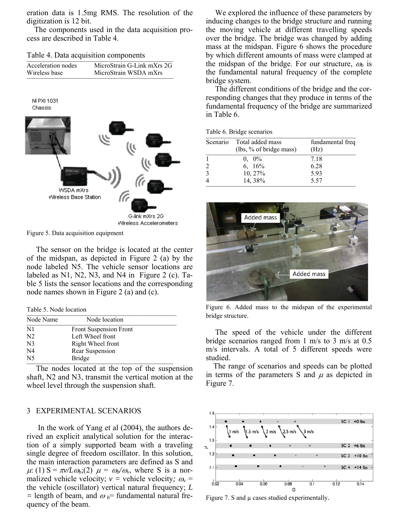eration data is 1.5mg RMS. The resolution of the digitization is 12 bit.

 The components used in the data acquisition process are described in Table 4.

Table 4. Data acquisition components \_\_\_\_\_\_\_\_\_\_\_\_\_\_\_\_\_\_\_\_\_\_\_\_\_\_\_\_\_\_\_\_\_\_\_\_\_\_\_\_\_\_\_\_\_

| Acceleration nodes | MicroStrain G-Link mXrs 2G |
|--------------------|----------------------------|
| Wireless base      | MicroStrain WSDA mXrs      |
|                    |                            |



Figure 5. Data acquisition equipment

The sensor on the bridge is located at the center of the midspan, as depicted in Figure 2 (a) by the node labeled N5. The vehicle sensor locations are labeled as N1, N2, N3, and N4 in Figure 2 (c). Table 5 lists the sensor locations and the corresponding node names shown in Figure 2 (a) and (c).

Table 5. Node location

| Node Name      | Node location                 |
|----------------|-------------------------------|
| N1             | <b>Front Suspension Front</b> |
| N <sub>2</sub> | Left Wheel front              |
| N <sub>3</sub> | Right Wheel front             |
| N <sub>4</sub> | Rear Suspension               |
| N <sub>5</sub> | <b>Bridge</b>                 |

The nodes located at the top of the suspension shaft, N2 and N3, transmit the vertical motion at the wheel level through the suspension shaft.

## 3 EXPERIMENTAL SCENARIOS

 In the work of Yang et al (2004), the authors derived an explicit analytical solution for the interaction of a simply supported beam with a traveling single degree of freedom oscillator. In this solution, the main interaction parameters are defined as S and  $\mu$ : (1) S =  $\pi v/L\omega_b$ ;(2)  $\mu = \omega_b/\omega_v$ , where S is a normalized vehicle velocity;  $v =$  vehicle velocity;  $\omega_v =$ the vehicle (oscillator) vertical natural frequency; *L*   $=$  length of beam, and  $\omega_b$ = fundamental natural frequency of the beam.

We explored the influence of these parameters by inducing changes to the bridge structure and running the moving vehicle at different travelling speeds over the bridge. The bridge was changed by adding mass at the midspan. Figure 6 shows the procedure by which different amounts of mass were clamped at the midspan of the bridge. For our structure,  $\omega_b$  is the fundamental natural frequency of the complete bridge system.

The different conditions of the bridge and the corresponding changes that they produce in terms of the fundamental frequency of the bridge are summarized in Table 6.

| Table 6. Bridge scenarios |  |
|---------------------------|--|

|                | Table 6. Drigge scenarios                   |                          |
|----------------|---------------------------------------------|--------------------------|
| Scenario       | Total added mass<br>(lbs, % of bridge mass) | fundamental freq<br>(Hz) |
|                | $0, 0\%$                                    | 7.18                     |
| $\overline{2}$ | 6, $16\%$                                   | 6.28                     |
| 3              | 10, 27%                                     | 5.93                     |
| $\overline{4}$ | 14, 38%                                     | 5.57                     |



Figure 6. Added mass to the midspan of the experimental bridge structure.

The speed of the vehicle under the different bridge scenarios ranged from 1 m/s to 3 m/s at 0.5 m/s intervals. A total of 5 different speeds were studied.

 The range of scenarios and speeds can be plotted in terms of the parameters S and  $\mu$  as depicted in Figure 7.



Figure 7. S and  $\mu$  cases studied experimentally.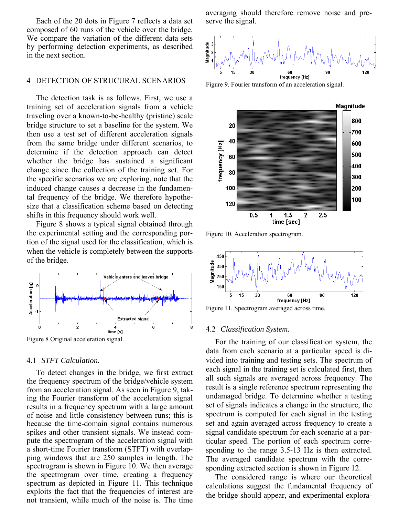Each of the 20 dots in Figure 7 reflects a data set composed of 60 runs of the vehicle over the bridge. We compare the variation of the different data sets by performing detection experiments, as described in the next section.

## 4 DETECTION OF STRUCURAL SCENARIOS

The detection task is as follows. First, we use a training set of acceleration signals from a vehicle traveling over a known-to-be-healthy (pristine) scale bridge structure to set a baseline for the system. We then use a test set of different acceleration signals from the same bridge under different scenarios, to determine if the detection approach can detect whether the bridge has sustained a significant change since the collection of the training set. For the specific scenarios we are exploring, note that the induced change causes a decrease in the fundamental frequency of the bridge. We therefore hypothesize that a classification scheme based on detecting shifts in this frequency should work well.

Figure 8 shows a typical signal obtained through the experimental setting and the corresponding portion of the signal used for the classification, which is when the vehicle is completely between the supports of the bridge.



Figure 8 Original acceleration signal.

#### 4.1 *STFT Calculation.*

To detect changes in the bridge, we first extract the frequency spectrum of the bridge/vehicle system from an acceleration signal. As seen in Figure 9, taking the Fourier transform of the acceleration signal results in a frequency spectrum with a large amount of noise and little consistency between runs; this is because the time-domain signal contains numerous spikes and other transient signals. We instead compute the spectrogram of the acceleration signal with a short-time Fourier transform (STFT) with overlapping windows that are 250 samples in length. The spectrogram is shown in Figure 10. We then average the spectrogram over time, creating a frequency spectrum as depicted in Figure 11. This technique exploits the fact that the frequencies of interest are not transient, while much of the noise is. The time averaging should therefore remove noise and preserve the signal.





Figure 10. Acceleration spectrogram.



Figure 11. Spectrogram averaged across time.

#### 4.2 *Classification System.*

For the training of our classification system, the data from each scenario at a particular speed is divided into training and testing sets. The spectrum of each signal in the training set is calculated first, then all such signals are averaged across frequency. The result is a single reference spectrum representing the undamaged bridge. To determine whether a testing set of signals indicates a change in the structure, the spectrum is computed for each signal in the testing set and again averaged across frequency to create a signal candidate spectrum for each scenario at a particular speed. The portion of each spectrum corresponding to the range 3.5-13 Hz is then extracted. The averaged candidate spectrum with the corresponding extracted section is shown in Figure 12.

The considered range is where our theoretical calculations suggest the fundamental frequency of the bridge should appear, and experimental explora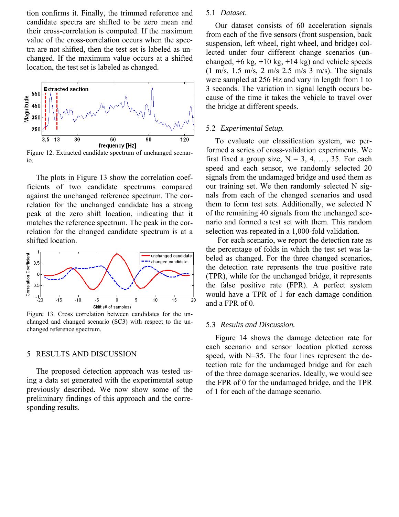tion confirms it. Finally, the trimmed reference and candidate spectra are shifted to be zero mean and their cross-correlation is computed. If the maximum value of the cross-correlation occurs when the spectra are not shifted, then the test set is labeled as unchanged. If the maximum value occurs at a shifted location, the test set is labeled as changed.



Figure 12. Extracted candidate spectrum of unchanged scenario.

The plots in Figure 13 show the correlation coefficients of two candidate spectrums compared against the unchanged reference spectrum. The correlation for the unchanged candidate has a strong peak at the zero shift location, indicating that it matches the reference spectrum. The peak in the correlation for the changed candidate spectrum is at a shifted location.



Figure 13. Cross correlation between candidates for the unchanged and changed scenario (SC3) with respect to the unchanged reference spectrum.

## 5 RESULTS AND DISCUSSION

The proposed detection approach was tested using a data set generated with the experimental setup previously described. We now show some of the preliminary findings of this approach and the corresponding results.

## 5.1 *Dataset.*

Our dataset consists of 60 acceleration signals from each of the five sensors (front suspension, back suspension, left wheel, right wheel, and bridge) collected under four different change scenarios (unchanged,  $+6$  kg,  $+10$  kg,  $+14$  kg) and vehicle speeds (1 m/s, 1.5 m/s, 2 m/s 2.5 m/s 3 m/s). The signals were sampled at 256 Hz and vary in length from 1 to 3 seconds. The variation in signal length occurs because of the time it takes the vehicle to travel over the bridge at different speeds.

#### 5.2 *Experimental Setup.*

To evaluate our classification system, we performed a series of cross-validation experiments. We first fixed a group size,  $N = 3, 4, ..., 35$ . For each speed and each sensor, we randomly selected 20 signals from the undamaged bridge and used them as our training set. We then randomly selected N signals from each of the changed scenarios and used them to form test sets. Additionally, we selected N of the remaining 40 signals from the unchanged scenario and formed a test set with them. This random selection was repeated in a 1,000-fold validation.

For each scenario, we report the detection rate as the percentage of folds in which the test set was labeled as changed. For the three changed scenarios, the detection rate represents the true positive rate (TPR), while for the unchanged bridge, it represents the false positive rate (FPR). A perfect system would have a TPR of 1 for each damage condition and a FPR of 0.

### 5.3 *Results and Discussion.*

Figure 14 shows the damage detection rate for each scenario and sensor location plotted across speed, with N=35. The four lines represent the detection rate for the undamaged bridge and for each of the three damage scenarios. Ideally, we would see the FPR of 0 for the undamaged bridge, and the TPR of 1 for each of the damage scenario.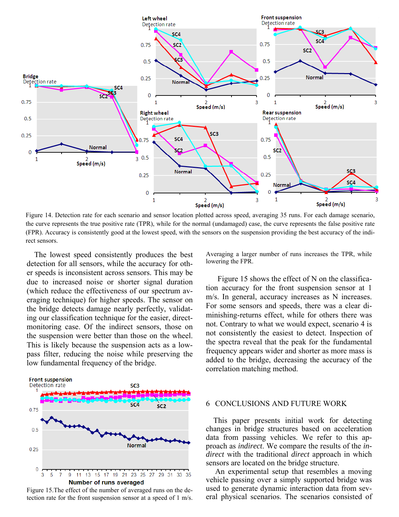

Figure 14. Detection rate for each scenario and sensor location plotted across speed, averaging 35 runs. For each damage scenario, the curve represents the true positive rate (TPR), while for the normal (undamaged) case, the curve represents the false positive rate (FPR). Accuracy is consistently good at the lowest speed, with the sensors on the suspension providing the best accuracy of the indirect sensors.

The lowest speed consistently produces the best detection for all sensors, while the accuracy for other speeds is inconsistent across sensors. This may be due to increased noise or shorter signal duration (which reduce the effectiveness of our spectrum averaging technique) for higher speeds. The sensor on the bridge detects damage nearly perfectly, validating our classification technique for the easier, directmonitoring case. Of the indirect sensors, those on the suspension were better than those on the wheel. This is likely because the suspension acts as a lowpass filter, reducing the noise while preserving the low fundamental frequency of the bridge.



tection rate for the front suspension sensor at a speed of 1 m/s.

Averaging a larger number of runs increases the TPR, while lowering the FPR.

Figure 15 shows the effect of N on the classification accuracy for the front suspension sensor at 1 m/s. In general, accuracy increases as N increases. For some sensors and speeds, there was a clear diminishing-returns effect, while for others there was not. Contrary to what we would expect, scenario 4 is not consistently the easiest to detect. Inspection of the spectra reveal that the peak for the fundamental frequency appears wider and shorter as more mass is added to the bridge, decreasing the accuracy of the correlation matching method.

## 6 CONCLUSIONS AND FUTURE WORK

This paper presents initial work for detecting changes in bridge structures based on acceleration data from passing vehicles. We refer to this approach as *indirect*. We compare the results of the *indirect* with the traditional *direct* approach in which sensors are located on the bridge structure.

An experimental setup that resembles a moving vehicle passing over a simply supported bridge was used to generate dynamic interaction data from several physical scenarios. The scenarios consisted of